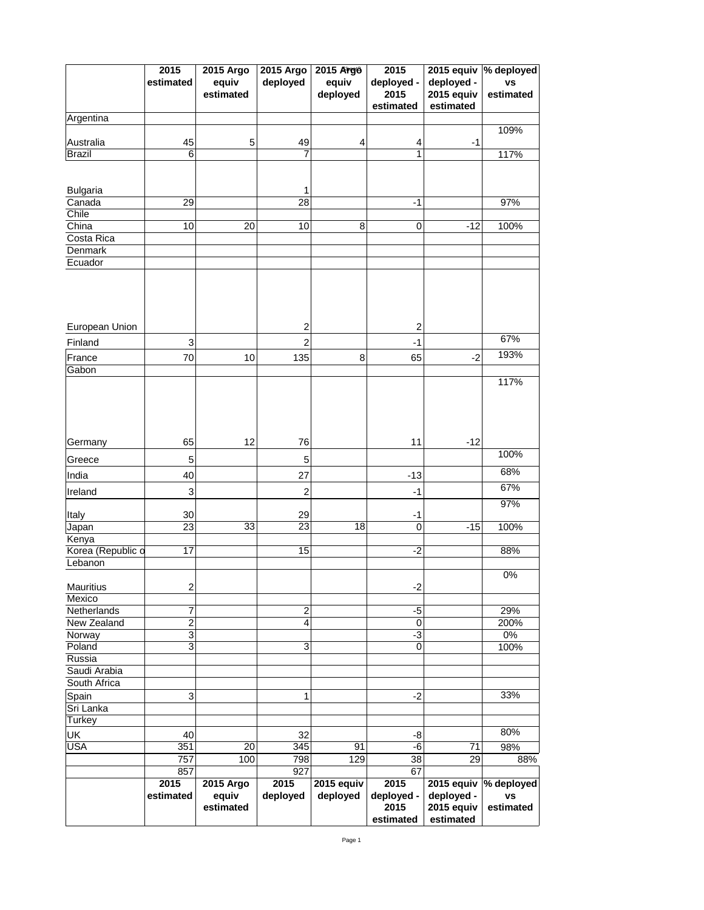|                              | 2015<br>estimated                | <b>2015 Argo</b><br>equiv<br>estimated | <b>2015 Argo</b><br>deployed | <b>2015 Argo</b><br>equiv<br>deployed | 2015<br>deployed -<br>2015<br>estimated | 2015 equiv<br>deployed -<br>2015 equiv<br>estimated | $ \%$ deployed<br><b>VS</b><br>estimated |
|------------------------------|----------------------------------|----------------------------------------|------------------------------|---------------------------------------|-----------------------------------------|-----------------------------------------------------|------------------------------------------|
| Argentina                    |                                  |                                        |                              |                                       |                                         |                                                     |                                          |
|                              |                                  |                                        |                              |                                       |                                         |                                                     | 109%                                     |
| <b>Australia</b>             | 45                               | 5                                      | 49<br>7                      | 4                                     | 4                                       | $-1$                                                |                                          |
| <b>Brazil</b>                | 6                                |                                        |                              |                                       | 1                                       |                                                     | 117%                                     |
|                              |                                  |                                        |                              |                                       |                                         |                                                     |                                          |
| <b>Bulgaria</b>              |                                  |                                        |                              |                                       |                                         |                                                     |                                          |
| Canada                       | 29                               |                                        | 28                           |                                       | $-1$                                    |                                                     | 97%                                      |
| Chile                        |                                  |                                        |                              |                                       |                                         |                                                     |                                          |
| China                        | 10 <sup>1</sup>                  | 20                                     | 10                           | 8                                     | $\overline{0}$                          | $-12$                                               | 100%                                     |
| Costa Rica<br><b>Denmark</b> |                                  |                                        |                              |                                       |                                         |                                                     |                                          |
| Ecuador                      |                                  |                                        |                              |                                       |                                         |                                                     |                                          |
|                              |                                  |                                        |                              |                                       |                                         |                                                     |                                          |
| <b>European Union</b>        |                                  |                                        | $\overline{2}$               |                                       | $\overline{2}$                          |                                                     |                                          |
| Finland                      | 3 <sup>1</sup>                   |                                        | $\overline{2}$               |                                       | $-1$                                    |                                                     | 67%                                      |
| France                       | 70                               | 10                                     | 135                          | 8                                     | 65                                      | $-2$                                                | 193%                                     |
| Gabon                        |                                  |                                        |                              |                                       |                                         |                                                     | 117%                                     |
| Germany                      | 65                               | 12                                     | 76                           |                                       | 11                                      | $-12$                                               |                                          |
|                              |                                  |                                        |                              |                                       |                                         |                                                     | 100%                                     |
| Greece                       | 5                                |                                        | 5                            |                                       |                                         |                                                     | 68%                                      |
| India                        | 40                               |                                        | 27                           |                                       | $-13$                                   |                                                     |                                          |
| Ireland                      | 3 <sup>1</sup>                   |                                        | $\overline{2}$               |                                       | $-1$                                    |                                                     | 67%<br>97%                               |
| <b>Italy</b>                 | 30 <sup>1</sup>                  |                                        | 29                           |                                       | $-1$                                    |                                                     |                                          |
| Japan                        | 23                               | 33                                     | 23                           | 18                                    | $\overline{0}$                          | $-15$                                               | 100%                                     |
| Kenya                        |                                  |                                        |                              |                                       |                                         |                                                     |                                          |
| Korea (Republic d            | 17                               |                                        | 15                           |                                       | $-2$                                    |                                                     | 88%                                      |
| Lebanon                      |                                  |                                        |                              |                                       |                                         |                                                     | $0\%$                                    |
| <b>Mauritius</b>             | $\overline{2}$                   |                                        |                              |                                       | $-2$                                    |                                                     |                                          |
| Mexico                       |                                  |                                        |                              |                                       |                                         |                                                     |                                          |
| Netherlands                  | $\overline{7}$<br>L              |                                        | $\overline{2}$               |                                       | $-5$                                    |                                                     | 29%                                      |
| New Zealand                  | $\overline{2}$                   |                                        | 4                            |                                       | $\overline{0}$                          |                                                     | 200%                                     |
| Norway<br>Poland             | 3 <sup>1</sup><br>3 <sup>1</sup> |                                        | 3                            |                                       | $-3$<br>$\overline{0}$                  |                                                     | $0\%$<br>100%                            |
| Russia                       |                                  |                                        |                              |                                       |                                         |                                                     |                                          |
| Saudi Arabia                 |                                  |                                        |                              |                                       |                                         |                                                     |                                          |
| South Africa                 |                                  |                                        |                              |                                       |                                         |                                                     |                                          |
| Spain                        | 3                                |                                        | 1                            |                                       | $-2$                                    |                                                     | 33%                                      |
| Sri Lanka                    |                                  |                                        |                              |                                       |                                         |                                                     |                                          |
| <b>Turkey</b>                |                                  |                                        |                              |                                       |                                         |                                                     |                                          |
| <b>UK</b>                    | 40                               |                                        | 32                           |                                       | -8                                      |                                                     | 80%                                      |
| <b>USA</b>                   | 351                              | 20                                     | 345                          | 91                                    | -6                                      | 71                                                  | 98%                                      |
|                              | 757<br>857                       | 100                                    | 798<br>927                   | 129                                   | 38<br>67                                | 29                                                  | 88%                                      |
|                              | 2015                             | <b>2015 Argo</b>                       | 2015                         | 2015 equiv                            | 2015                                    | 2015 equiv                                          | $ \%$ deployed                           |
|                              | estimated                        | equiv<br>estimated                     | deployed                     | deployed                              | deployed -<br>2015<br>estimated         | deployed -<br>2015 equiv<br>estimated               | <b>VS</b><br>estimated                   |

Page 1